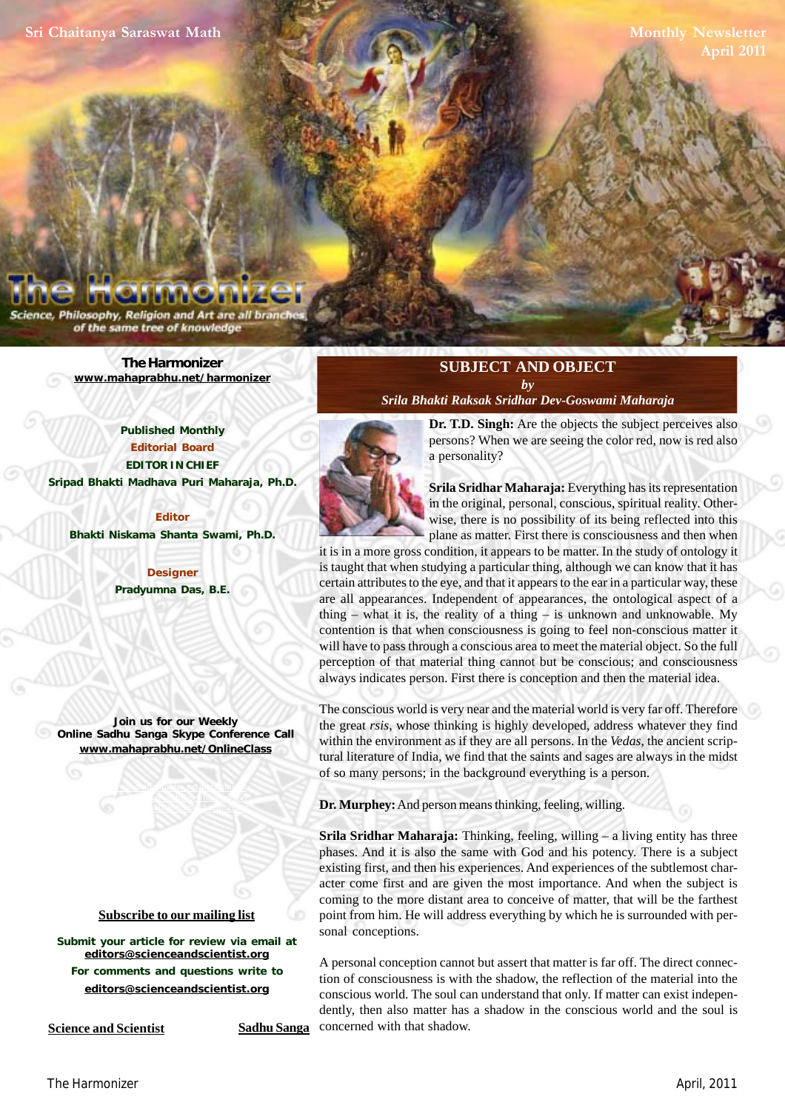Philosophy, Religion and Art are all bra of the same tree of knowledge

> **[The Harmonizer](http://mahaprabhu.net/harmonizer) www.mahaprabhu.net/harmonizer**

**Published Monthly Editorial Board EDITOR IN CHIEF [Sripad Bhakti Madhava Puri Maharaja, Ph.D.](http://mahaprabhu.net/sadhusanga/blog1.php/2009/10/01/affectionate-guardians)**

**Editor Bhakti Niskama Shanta Swami, Ph.D.**

> **Designer Pradyumna Das, B.E.**

**Join us for our Weekly Online Sadhu Sanga Skype Conference Call www.mahaprabhu.net/OnlineClass**

> www.mahaprabhu.net/harmonizer www.mahapprabhu.net/harmonizer www.mahaprabhu.net/harmonizer

## **Subscribe to our mailing list**

**Submit your article for review via email at editors@scienceandscientist.org For comments and questions write to editors@scienceandscientist.org**

**Science and Scientist Sadhu Sanga** 

## **SUBJECT AND OBJECT** *by*

*[Srila Bhakti Raksak Sridhar Dev-Goswami Maharaja](http://scsmath.com/docs/sridhar_maharaj.html)*



**[Dr. T.D. Singh](http://mahaprabhu.net/sadhusanga/blog1.php/2009/10/01/affectionate-guardians):** Are the objects the subject perceives also persons? When we are seeing the color red, now is red also a personality?

 . in the original, personal, conscious, spiritual reality. Other-**[Srila Sridhar Maharaja](http://scsmath.com/docs/sridhar_maharaj.html):** Everything has its representation wise, there is no possibility of its being reflected into this plane as matter. First there is consciousness and then when

it is in a more gross condition, it appears to be matter. In the study of ontology it is taught that when studying a particular thing, although we can know that it has certain attributes to the eye, and that it appears to the ear in a particular way, these are all appearances. Independent of appearances, the ontological aspect of a thing – what it is, the reality of a thing – is unknown and unknowable. My contention is that when consciousness is going to feel non-conscious matter it will have to pass through a conscious area to meet the material object. So the full perception of that material thing cannot but be conscious; and consciousness always indicates person. First there is conception and then the material idea.

The conscious world is very near and the material world is very far off. Therefore the great *rsis*, whose thinking is highly developed, address whatever they find within the environment as if they are all persons. In the *Vedas*, the ancient scriptural literature of India, we find that the saints and sages are always in the midst of so many persons; in the background everything is a person.

**Dr. Murphey:** And person means thinking, feeling, willing.

**[Srila Sridhar Maharaja](http://scsmath.com/docs/sridhar_maharaj.html):** Thinking, feeling, willing – a living entity has three phases. And it is also the same with God and his potency. There is a subject existing first, and then his experiences. And experiences of the subtlemost character come first and are given the most importance. And when the subject is coming to the more distant area to conceive of matter, that will be the farthest point from him. He will address everything by which he is surrounded with personal conceptions.

A personal conception cannot but assert that matter is far off. The direct connection of consciousness is with the shadow, the reflection of the material into the conscious world. The soul can understand that only. If matter can exist independently, then also matter has a shadow in the conscious world and the soul is concerned with that shadow.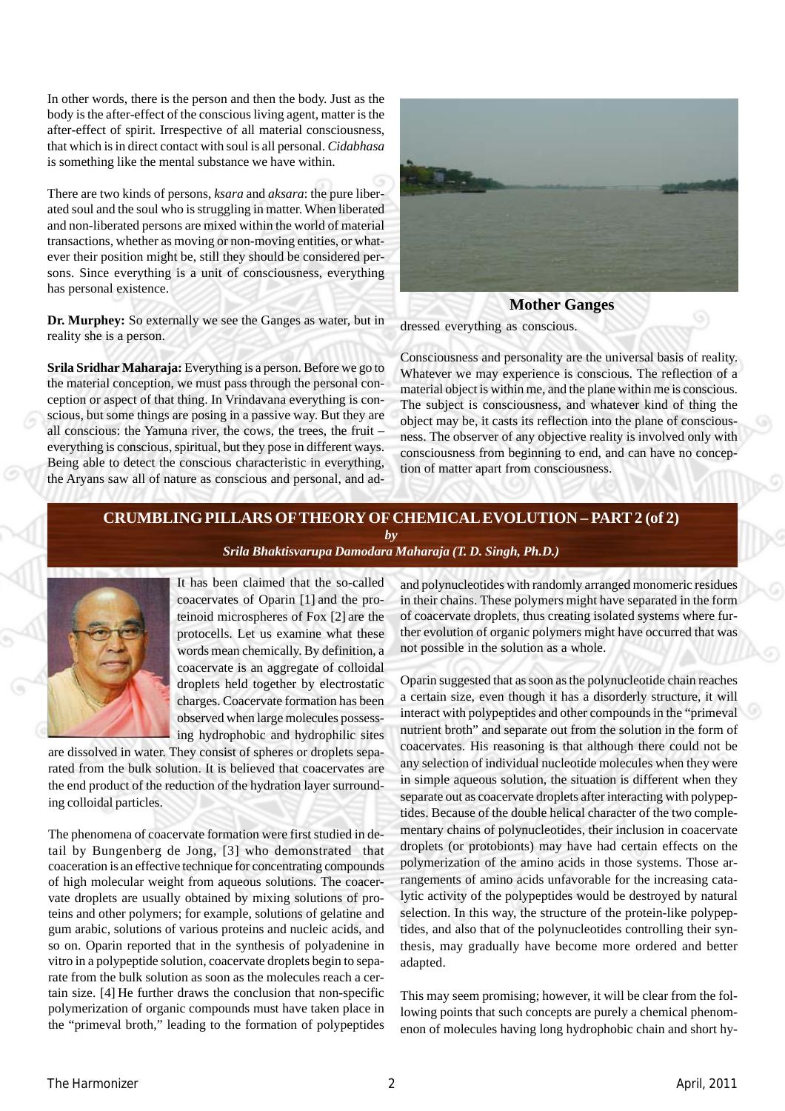In other words, there is the person and then the body. Just as the body is the after-effect of the conscious living agent, matter is the after-effect of spirit. Irrespective of all material consciousness, that which is in direct contact with soul is all personal. *Cidabhasa* is something like the mental substance we have within.

There are two kinds of persons, *ksara* and *aksara*: the pure liberated soul and the soul who is struggling in matter. When liberated and non-liberated persons are mixed within the world of material transactions, whether as moving or non-moving entities, or whatever their position might be, still they should be considered persons. Since everything is a unit of consciousness, everything has personal existence.

**Dr. Murphey:** So externally we see the Ganges as water, but in reality she is a person.

**[Srila Sridhar Maharaja:](http://scsmath.com/docs/sridhar_maharaj.html)** Everything is a person. Before we go to the material conception, we must pass through the personal conception or aspect of that thing. In Vrindavana everything is conscious, but some things are posing in a passive way. But they are all conscious: the Yamuna river, the cows, the trees, the fruit – everything is conscious, spiritual, but they pose in different ways. Being able to detect the conscious characteristic in everything, the Aryans saw all of nature as conscious and personal, and ad-



## **Mother Ganges**

dressed everything as conscious.

Consciousness and personality are the universal basis of reality. Whatever we may experience is conscious. The reflection of a material object is within me, and the plane within me is conscious. The subject is consciousness, and whatever kind of thing the object may be, it casts its reflection into the plane of consciousness. The observer of any objective reality is involved only with consciousness from beginning to end, and can have no conception of matter apart from consciousness.

## **CRUMBLING PILLARS OF THEORY OF CHEMICAL EVOLUTION – PART 2 (of 2)** *by [Srila Bhaktisvarupa Damodara Maharaja \(T. D. Singh, Ph.D.\)](http://mahaprabhu.net/sadhusanga/blog1.php/2009/10/01/affectionate-guardians)*



It has been claimed that the so-called coacervates of Oparin [1] and the proteinoid microspheres of Fox [2] are the protocells. Let us examine what these words mean chemically. By definition, a coacervate is an aggregate of colloidal droplets held together by electrostatic charges. Coacervate formation has been observed when large molecules possessing hydrophobic and hydrophilic sites

are dissolved in water. They consist of spheres or droplets separated from the bulk solution. It is believed that coacervates are the end product of the reduction of the hydration layer surrounding colloidal particles.

The phenomena of coacervate formation were first studied in detail by Bungenberg de Jong, [3] who demonstrated that coaceration is an effective technique for concentrating compounds of high molecular weight from aqueous solutions. The coacervate droplets are usually obtained by mixing solutions of proteins and other polymers; for example, solutions of gelatine and gum arabic, solutions of various proteins and nucleic acids, and so on. Oparin reported that in the synthesis of polyadenine in vitro in a polypeptide solution, coacervate droplets begin to separate from the bulk solution as soon as the molecules reach a certain size. [4] He further draws the conclusion that non-specific polymerization of organic compounds must have taken place in the "primeval broth," leading to the formation of polypeptides

and polynucleotides with randomly arranged monomeric residues in their chains. These polymers might have separated in the form of coacervate droplets, thus creating isolated systems where further evolution of organic polymers might have occurred that was not possible in the solution as a whole.

Oparin suggested that as soon as the polynucleotide chain reaches a certain size, even though it has a disorderly structure, it will interact with polypeptides and other compounds in the "primeval nutrient broth" and separate out from the solution in the form of coacervates. His reasoning is that although there could not be any selection of individual nucleotide molecules when they were in simple aqueous solution, the situation is different when they separate out as coacervate droplets after interacting with polypeptides. Because of the double helical character of the two complementary chains of polynucleotides, their inclusion in coacervate droplets (or protobionts) may have had certain effects on the polymerization of the amino acids in those systems. Those arrangements of amino acids unfavorable for the increasing catalytic activity of the polypeptides would be destroyed by natural selection. In this way, the structure of the protein-like polypeptides, and also that of the polynucleotides controlling their synthesis, may gradually have become more ordered and better adapted.

This may seem promising; however, it will be clear from the following points that such concepts are purely a chemical phenomenon of molecules having long hydrophobic chain and short hy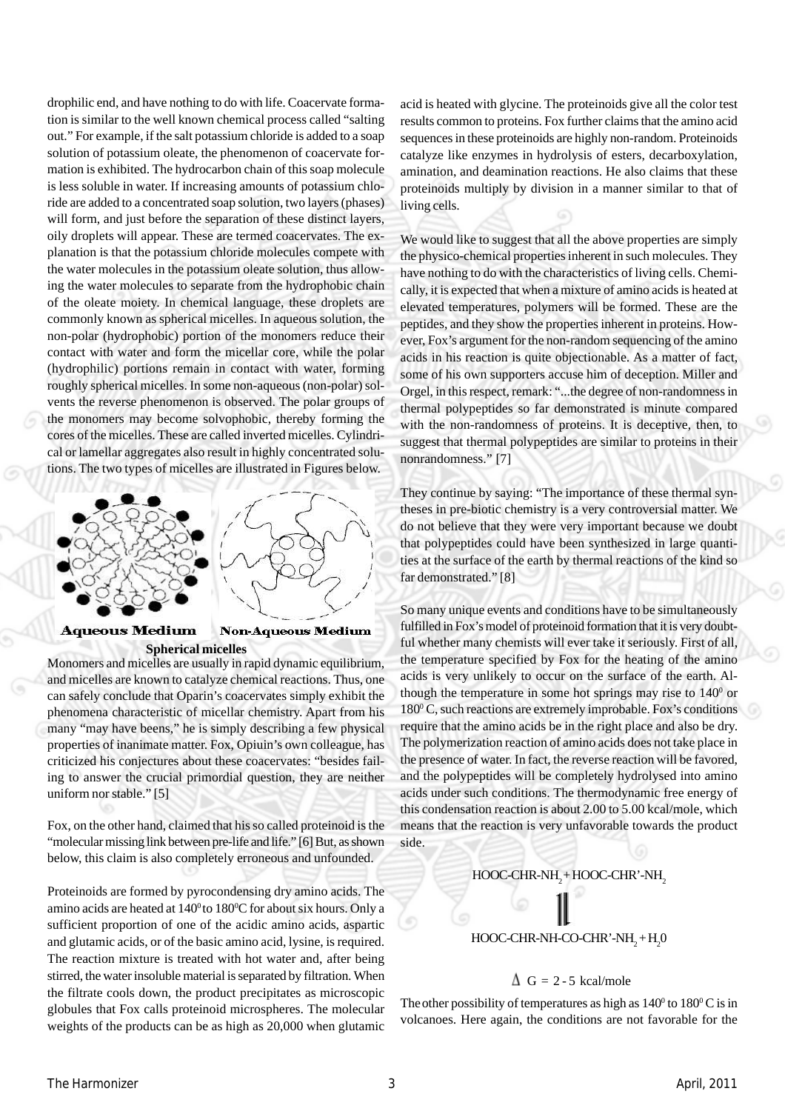drophilic end, and have nothing to do with life. Coacervate formation is similar to the well known chemical process called "salting out." For example, if the salt potassium chloride is added to a soap solution of potassium oleate, the phenomenon of coacervate formation is exhibited. The hydrocarbon chain of this soap molecule is less soluble in water. If increasing amounts of potassium chloride are added to a concentrated soap solution, two layers (phases) will form, and just before the separation of these distinct layers, oily droplets will appear. These are termed coacervates. The explanation is that the potassium chloride molecules compete with the water molecules in the potassium oleate solution, thus allowing the water molecules to separate from the hydrophobic chain of the oleate moiety. In chemical language, these droplets are commonly known as spherical micelles. In aqueous solution, the non-polar (hydrophobic) portion of the monomers reduce their contact with water and form the micellar core, while the polar (hydrophilic) portions remain in contact with water, forming roughly spherical micelles. In some non-aqueous (non-polar) solvents the reverse phenomenon is observed. The polar groups of the monomers may become solvophobic, thereby forming the cores of the micelles. These are called inverted micelles. Cylindrical or lamellar aggregates also result in highly concentrated solutions. The two types of micelles are illustrated in Figures below.



# **Aqueous Medium**

# **Spherical micelles**

Monomers and micelles are usually in rapid dynamic equilibrium, and micelles are known to catalyze chemical reactions. Thus, one can safely conclude that Oparin's coacervates simply exhibit the phenomena characteristic of micellar chemistry. Apart from his many "may have beens," he is simply describing a few physical properties of inanimate matter. Fox, Opiuin's own colleague, has criticized his conjectures about these coacervates: "besides failing to answer the crucial primordial question, they are neither uniform nor stable." [5]

Fox, on the other hand, claimed that his so called proteinoid is the "molecular missing link between pre-life and life." [6] But, as shown below, this claim is also completely erroneous and unfounded.

Proteinoids are formed by pyrocondensing dry amino acids. The amino acids are heated at  $140^{\circ}$  to  $180^{\circ}$ C for about six hours. Only a sufficient proportion of one of the acidic amino acids, aspartic and glutamic acids, or of the basic amino acid, lysine, is required. The reaction mixture is treated with hot water and, after being stirred, the water insoluble material is separated by filtration. When the filtrate cools down, the product precipitates as microscopic globules that Fox calls proteinoid microspheres. The molecular weights of the products can be as high as 20,000 when glutamic

acid is heated with glycine. The proteinoids give all the color test results common to proteins. Fox further claims that the amino acid sequences in these proteinoids are highly non-random. Proteinoids catalyze like enzymes in hydrolysis of esters, decarboxylation, amination, and deamination reactions. He also claims that these proteinoids multiply by division in a manner similar to that of living cells.

We would like to suggest that all the above properties are simply the physico-chemical properties inherent in such molecules. They have nothing to do with the characteristics of living cells. Chemically, it is expected that when a mixture of amino acids is heated at elevated temperatures, polymers will be formed. These are the peptides, and they show the properties inherent in proteins. However, Fox's argument for the non-random sequencing of the amino acids in his reaction is quite objectionable. As a matter of fact, some of his own supporters accuse him of deception. Miller and Orgel, in this respect, remark: "...the degree of non-randomness in thermal polypeptides so far demonstrated is minute compared with the non-randomness of proteins. It is deceptive, then, to suggest that thermal polypeptides are similar to proteins in their nonrandomness." [7]

They continue by saying: "The importance of these thermal syntheses in pre-biotic chemistry is a very controversial matter. We do not believe that they were very important because we doubt that polypeptides could have been synthesized in large quantities at the surface of the earth by thermal reactions of the kind so far demonstrated." [8]

So many unique events and conditions have to be simultaneously fulfilled in Fox's model of proteinoid formation that it is very doubtful whether many chemists will ever take it seriously. First of all, the temperature specified by Fox for the heating of the amino acids is very unlikely to occur on the surface of the earth. Although the temperature in some hot springs may rise to  $140^{\circ}$  or 180<sup>°</sup> C, such reactions are extremely improbable. Fox's conditions require that the amino acids be in the right place and also be dry. The polymerization reaction of amino acids does not take place in the presence of water. In fact, the reverse reaction will be favored, and the polypeptides will be completely hydrolysed into amino acids under such conditions. The thermodynamic free energy of this condensation reaction is about 2.00 to 5.00 kcal/mole, which means that the reaction is very unfavorable towards the product side.

## HOOC-CHR-NH<sub>2</sub> + HOOC-CHR'-NH<sub>2</sub>

## HOOC-CHR-NH-CO-CHR'-NH<sub>2</sub>+H<sub>2</sub>0

## $\Delta$  G = 2 - 5 kcal/mole

The other possibility of temperatures as high as  $140^{\circ}$  to  $180^{\circ}$ C is in volcanoes. Here again, the conditions are not favorable for the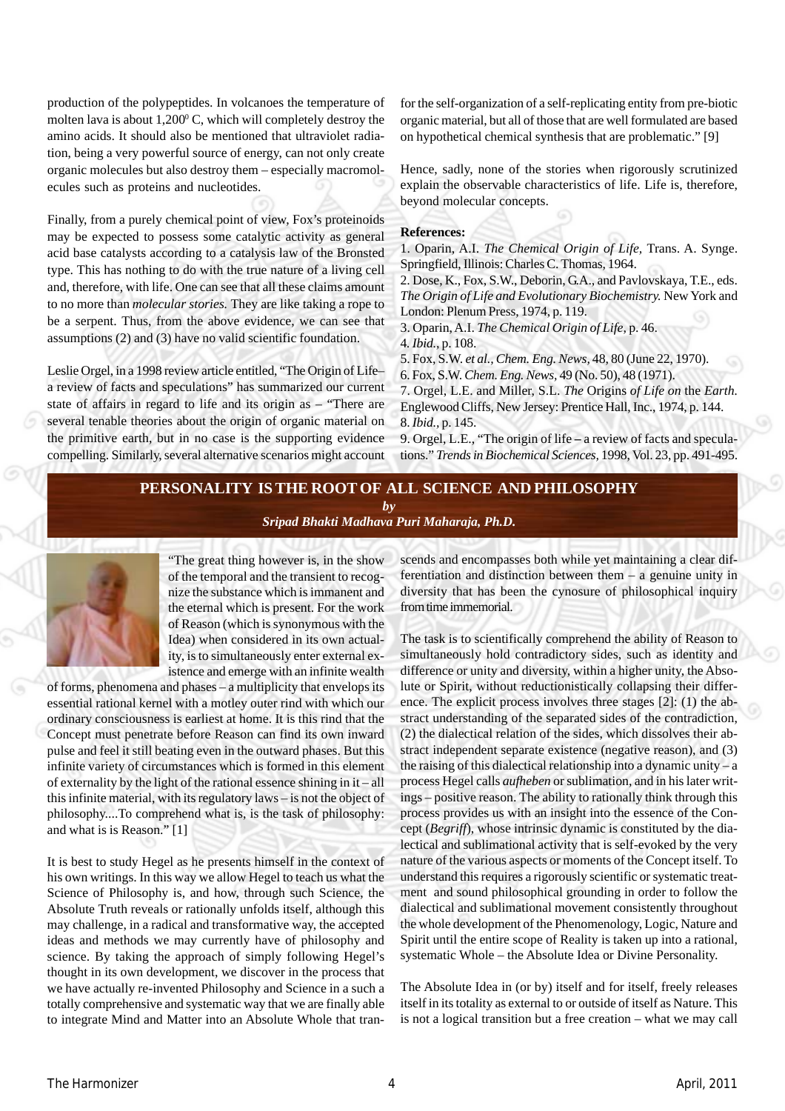production of the polypeptides. In volcanoes the temperature of molten lava is about  $1,200^{\circ}$  C, which will completely destroy the amino acids. It should also be mentioned that ultraviolet radiation, being a very powerful source of energy, can not only create organic molecules but also destroy them – especially macromolecules such as proteins and nucleotides.

Finally, from a purely chemical point of view, Fox's proteinoids may be expected to possess some catalytic activity as general acid base catalysts according to a catalysis law of the Bronsted type. This has nothing to do with the true nature of a living cell and, therefore, with life. One can see that all these claims amount to no more than *molecular stories.* They are like taking a rope to be a serpent. Thus, from the above evidence, we can see that assumptions (2) and (3) have no valid scientific foundation.

Leslie Orgel, in a 1998 review article entitled, "The Origin of Life– a review of facts and speculations" has summarized our current state of affairs in regard to life and its origin as – "There are several tenable theories about the origin of organic material on the primitive earth, but in no case is the supporting evidence compelling. Similarly, several alternative scenarios might account for the self-organization of a self-replicating entity from pre-biotic organic material, but all of those that are well formulated are based on hypothetical chemical synthesis that are problematic." [9]

Hence, sadly, none of the stories when rigorously scrutinized explain the observable characteristics of life. Life is, therefore, beyond molecular concepts.

#### **References:**

1. Oparin, A.I. *The Chemical Origin of Life,* Trans. A. Synge. Springfield, Illinois: Charles C. Thomas, 1964.

2. Dose, K., Fox, S.W., Deborin, G.A., and Pavlovskaya, T.E., eds. *The Origin of Life and Evolutionary Biochemistry.* New York and London: Plenum Press, 1974, p. 119.

3. Oparin, A.I. *The Chemical Origin of Life,* p. 46.

4*. Ibid.,* p. 108.

5. Fox, S.W. *et al., Chem. Eng. News,* 48, 80 (June 22, 1970). 6. Fox, S.W. *Chem. Eng. News,* 49 (No. 50), 48 (1971).

7. Orgel, L.E. and Miller, S.L. *The* Origins *of Life on* the *Earth.* Englewood Cliffs, New Jersey: Prentice Hall, Inc., 1974, p. 144. 8. *Ibid.,* p. 145.

9. Orgel, L.E., "The origin of life **–** a review of facts and speculations." *Trends in Biochemical Sciences,* 1998, Vol. 23, pp. 491-495.

## **PERSONALITY IS THE ROOT OF ALL SCIENCE AND PHILOSOPHY** *by*

*[Sripad Bhakti Madhava Puri Maharaja, Ph.D.](http://mahaprabhu.net/sadhusanga/blog1.php/2009/10/01/affectionate-guardians)*



"The great thing however is, in the show of the temporal and the transient to recognize the substance which is immanent and the eternal which is present. For the work of Reason (which is synonymous with the Idea) when considered in its own actuality, is to simultaneously enter external existence and emerge with an infinite wealth

of forms, phenomena and phases – a multiplicity that envelops its essential rational kernel with a motley outer rind with which our ordinary consciousness is earliest at home. It is this rind that the Concept must penetrate before Reason can find its own inward pulse and feel it still beating even in the outward phases. But this infinite variety of circumstances which is formed in this element of externality by the light of the rational essence shining in it – all this infinite material, with its regulatory laws – is not the object of philosophy....To comprehend what is, is the task of philosophy: and what is is Reason." [1]

It is best to study Hegel as he presents himself in the context of his own writings. In this way we allow Hegel to teach us what the Science of Philosophy is, and how, through such Science, the Absolute Truth reveals or rationally unfolds itself, although this may challenge, in a radical and transformative way, the accepted ideas and methods we may currently have of philosophy and science. By taking the approach of simply following Hegel's thought in its own development, we discover in the process that we have actually re-invented Philosophy and Science in a such a totally comprehensive and systematic way that we are finally able to integrate Mind and Matter into an Absolute Whole that transcends and encompasses both while yet maintaining a clear differentiation and distinction between them – a genuine unity in diversity that has been the cynosure of philosophical inquiry from time immemorial.

The task is to scientifically comprehend the ability of Reason to simultaneously hold contradictory sides, such as identity and difference or unity and diversity, within a higher unity, the Absolute or Spirit, without reductionistically collapsing their difference. The explicit process involves three stages [2]: (1) the abstract understanding of the separated sides of the contradiction, (2) the dialectical relation of the sides, which dissolves their abstract independent separate existence (negative reason), and (3) the raising of this dialectical relationship into a dynamic unity – a process Hegel calls *aufheben* or sublimation, and in his later writings – positive reason. The ability to rationally think through this process provides us with an insight into the essence of the Concept (*Begriff*), whose intrinsic dynamic is constituted by the dialectical and sublimational activity that is self-evoked by the very nature of the various aspects or moments of the Concept itself. To understand this requires a rigorously scientific or systematic treatment and sound philosophical grounding in order to follow the dialectical and sublimational movement consistently throughout the whole development of the Phenomenology, Logic, Nature and Spirit until the entire scope of Reality is taken up into a rational, systematic Whole – the Absolute Idea or Divine Personality.

The Absolute Idea in (or by) itself and for itself, freely releases itself in its totality as external to or outside of itself as Nature. This is not a logical transition but a free creation – what we may call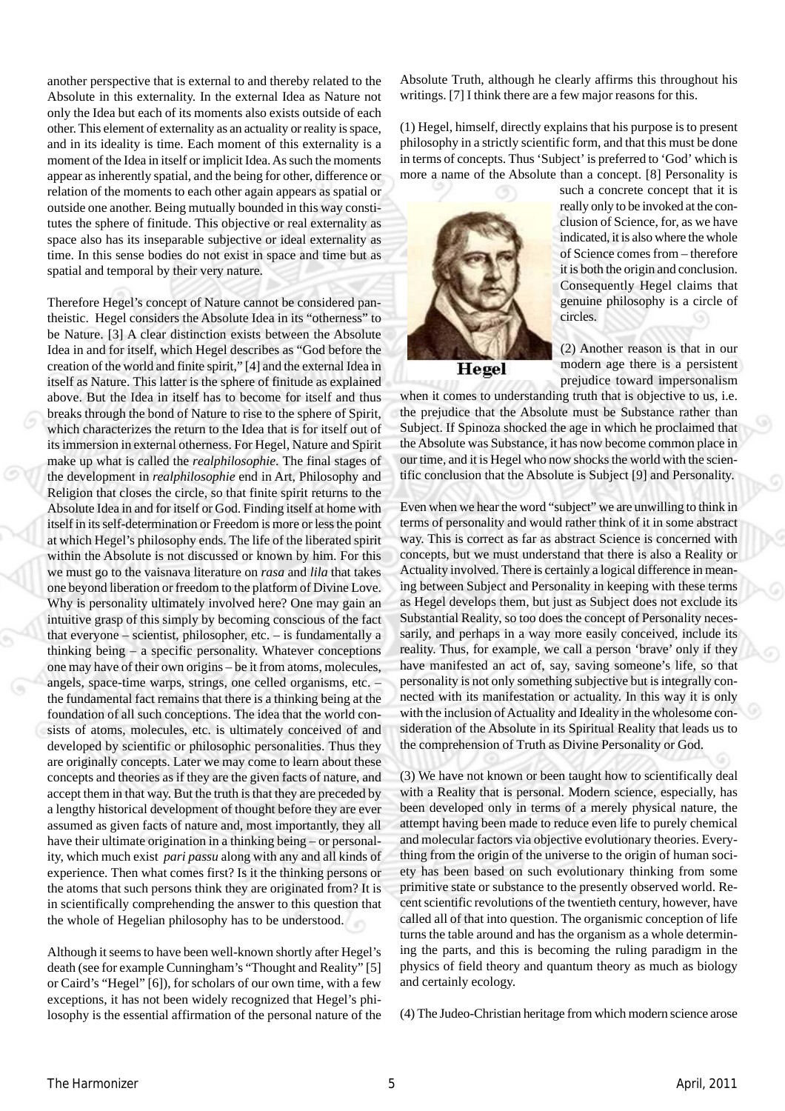another perspective that is external to and thereby related to the Absolute in this externality. In the external Idea as Nature not only the Idea but each of its moments also exists outside of each other. This element of externality as an actuality or reality is space, and in its ideality is time. Each moment of this externality is a moment of the Idea in itself or implicit Idea. As such the moments appear as inherently spatial, and the being for other, difference or relation of the moments to each other again appears as spatial or outside one another. Being mutually bounded in this way constitutes the sphere of finitude. This objective or real externality as space also has its inseparable subjective or ideal externality as time. In this sense bodies do not exist in space and time but as spatial and temporal by their very nature.

Therefore Hegel's concept of Nature cannot be considered pantheistic. Hegel considers the Absolute Idea in its "otherness" to be Nature. [3] A clear distinction exists between the Absolute Idea in and for itself, which Hegel describes as "God before the creation of the world and finite spirit," [4] and the external Idea in itself as Nature. This latter is the sphere of finitude as explained above. But the Idea in itself has to become for itself and thus breaks through the bond of Nature to rise to the sphere of Spirit, which characterizes the return to the Idea that is for itself out of its immersion in external otherness. For Hegel, Nature and Spirit make up what is called the *realphilosophie*. The final stages of the development in *realphilosophie* end in Art, Philosophy and Religion that closes the circle, so that finite spirit returns to the Absolute Idea in and for itself or God. Finding itself at home with itself in its self-determination or Freedom is more or less the point at which Hegel's philosophy ends. The life of the liberated spirit within the Absolute is not discussed or known by him. For this we must go to the vaisnava literature on *rasa* and *lila* that takes one beyond liberation or freedom to the platform of Divine Love. Why is personality ultimately involved here? One may gain an intuitive grasp of this simply by becoming conscious of the fact that everyone – scientist, philosopher, etc. – is fundamentally a thinking being – a specific personality. Whatever conceptions one may have of their own origins – be it from atoms, molecules, angels, space-time warps, strings, one celled organisms, etc. – the fundamental fact remains that there is a thinking being at the foundation of all such conceptions. The idea that the world consists of atoms, molecules, etc. is ultimately conceived of and developed by scientific or philosophic personalities. Thus they are originally concepts. Later we may come to learn about these concepts and theories as if they are the given facts of nature, and accept them in that way. But the truth is that they are preceded by a lengthy historical development of thought before they are ever assumed as given facts of nature and, most importantly, they all have their ultimate origination in a thinking being – or personality, which much exist *pari passu* along with any and all kinds of experience. Then what comes first? Is it the thinking persons or the atoms that such persons think they are originated from? It is in scientifically comprehending the answer to this question that the whole of Hegelian philosophy has to be understood.

Although it seems to have been well-known shortly after Hegel's death (see for example Cunningham's "Thought and Reality" [5] or Caird's "Hegel" [6]), for scholars of our own time, with a few exceptions, it has not been widely recognized that Hegel's philosophy is the essential affirmation of the personal nature of the Absolute Truth, although he clearly affirms this throughout his writings. [7] I think there are a few major reasons for this.

(1) Hegel, himself, directly explains that his purpose is to present philosophy in a strictly scientific form, and that this must be done in terms of concepts. Thus 'Subject' is preferred to 'God' which is more a name of the Absolute than a concept. [8] Personality is



such a concrete concept that it is really only to be invoked at the conclusion of Science, for, as we have indicated, it is also where the whole of Science comes from – therefore it is both the origin and conclusion. Consequently Hegel claims that genuine philosophy is a circle of circles.

(2) Another reason is that in our modern age there is a persistent prejudice toward impersonalism

when it comes to understanding truth that is objective to us, i.e. the prejudice that the Absolute must be Substance rather than Subject. If Spinoza shocked the age in which he proclaimed that the Absolute was Substance, it has now become common place in our time, and it is Hegel who now shocks the world with the scientific conclusion that the Absolute is Subject [9] and Personality.

Even when we hear the word "subject" we are unwilling to think in terms of personality and would rather think of it in some abstract way. This is correct as far as abstract Science is concerned with concepts, but we must understand that there is also a Reality or Actuality involved. There is certainly a logical difference in meaning between Subject and Personality in keeping with these terms as Hegel develops them, but just as Subject does not exclude its Substantial Reality, so too does the concept of Personality necessarily, and perhaps in a way more easily conceived, include its reality. Thus, for example, we call a person 'brave' only if they have manifested an act of, say, saving someone's life, so that personality is not only something subjective but is integrally connected with its manifestation or actuality. In this way it is only with the inclusion of Actuality and Ideality in the wholesome consideration of the Absolute in its Spiritual Reality that leads us to the comprehension of Truth as Divine Personality or God.

(3) We have not known or been taught how to scientifically deal with a Reality that is personal. Modern science, especially, has been developed only in terms of a merely physical nature, the attempt having been made to reduce even life to purely chemical and molecular factors via objective evolutionary theories. Everything from the origin of the universe to the origin of human society has been based on such evolutionary thinking from some primitive state or substance to the presently observed world. Recent scientific revolutions of the twentieth century, however, have called all of that into question. The organismic conception of life turns the table around and has the organism as a whole determining the parts, and this is becoming the ruling paradigm in the physics of field theory and quantum theory as much as biology and certainly ecology.

(4) The Judeo-Christian heritage from which modern science arose